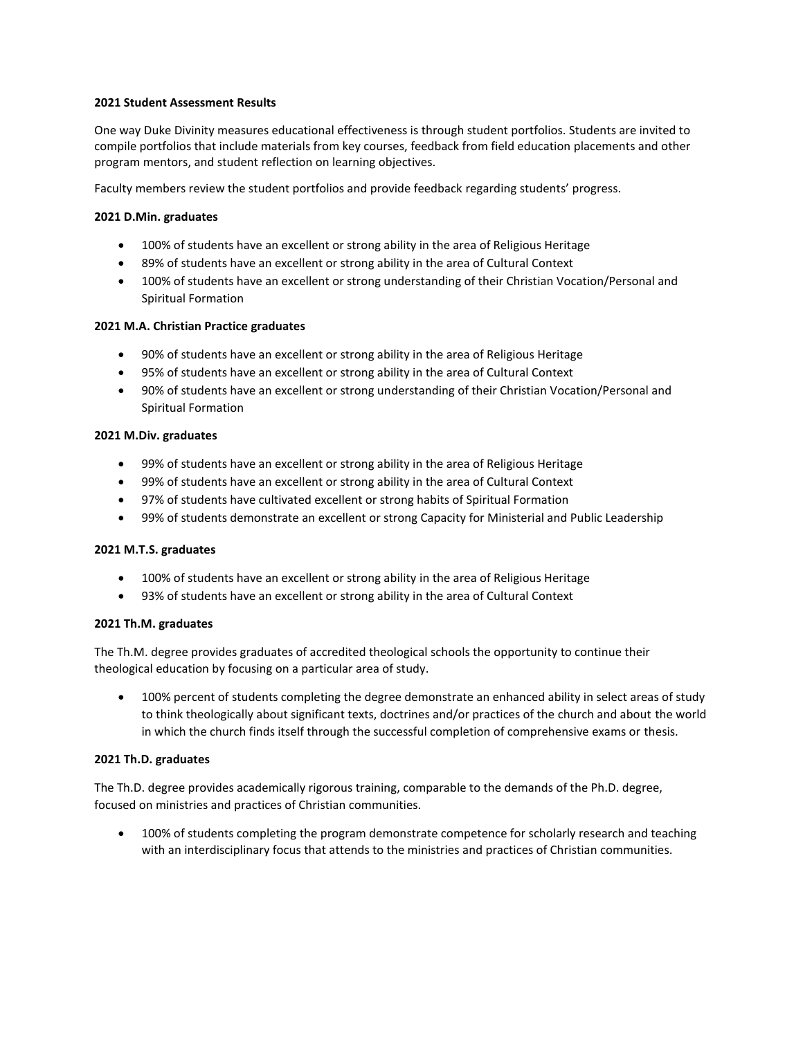## **2021 Student Assessment Results**

One way Duke Divinity measures educational effectiveness is through student portfolios. Students are invited to compile portfolios that include materials from key courses, feedback from field education placements and other program mentors, and student reflection on learning objectives.

Faculty members review the student portfolios and provide feedback regarding students' progress.

# **2021 D.Min. graduates**

- 100% of students have an excellent or strong ability in the area of Religious Heritage
- 89% of students have an excellent or strong ability in the area of Cultural Context
- 100% of students have an excellent or strong understanding of their Christian Vocation/Personal and Spiritual Formation

### **2021 M.A. Christian Practice graduates**

- 90% of students have an excellent or strong ability in the area of Religious Heritage
- 95% of students have an excellent or strong ability in the area of Cultural Context
- 90% of students have an excellent or strong understanding of their Christian Vocation/Personal and Spiritual Formation

### **2021 M.Div. graduates**

- 99% of students have an excellent or strong ability in the area of Religious Heritage
- 99% of students have an excellent or strong ability in the area of Cultural Context
- 97% of students have cultivated excellent or strong habits of Spiritual Formation
- 99% of students demonstrate an excellent or strong Capacity for Ministerial and Public Leadership

### **2021 M.T.S. graduates**

- 100% of students have an excellent or strong ability in the area of Religious Heritage
- 93% of students have an excellent or strong ability in the area of Cultural Context

### **2021 Th.M. graduates**

The Th.M. degree provides graduates of accredited theological schools the opportunity to continue their theological education by focusing on a particular area of study.

 100% percent of students completing the degree demonstrate an enhanced ability in select areas of study to think theologically about significant texts, doctrines and/or practices of the church and about the world in which the church finds itself through the successful completion of comprehensive exams or thesis.

### **2021 Th.D. graduates**

The Th.D. degree provides academically rigorous training, comparable to the demands of the Ph.D. degree, focused on ministries and practices of Christian communities.

• 100% of students completing the program demonstrate competence for scholarly research and teaching with an interdisciplinary focus that attends to the ministries and practices of Christian communities.